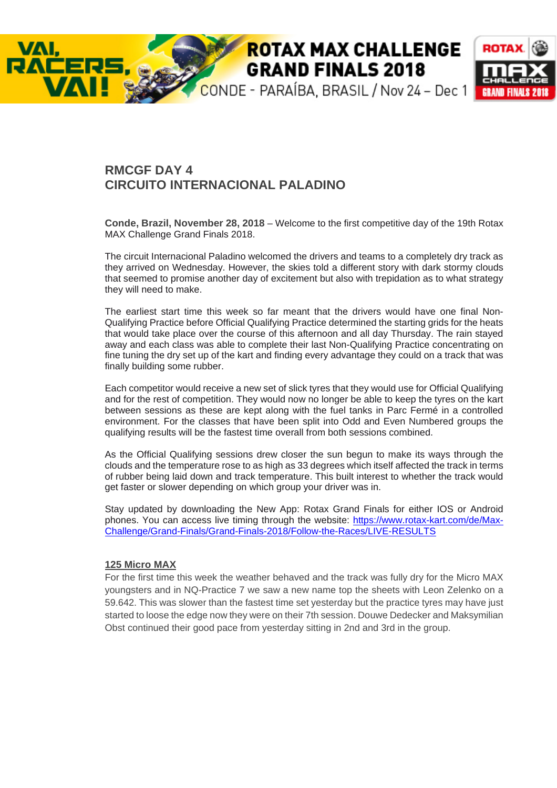# **ROTAX MAX CHALLENGE GRAND FINALS 2018**



# **RMCGF DAY 4 CIRCUITO INTERNACIONAL PALADINO**

**Conde, Brazil, November 28, 2018** – Welcome to the first competitive day of the 19th Rotax MAX Challenge Grand Finals 2018.

The circuit Internacional Paladino welcomed the drivers and teams to a completely dry track as they arrived on Wednesday. However, the skies told a different story with dark stormy clouds that seemed to promise another day of excitement but also with trepidation as to what strategy they will need to make.

The earliest start time this week so far meant that the drivers would have one final Non-Qualifying Practice before Official Qualifying Practice determined the starting grids for the heats that would take place over the course of this afternoon and all day Thursday. The rain stayed away and each class was able to complete their last Non-Qualifying Practice concentrating on fine tuning the dry set up of the kart and finding every advantage they could on a track that was finally building some rubber.

Each competitor would receive a new set of slick tyres that they would use for Official Qualifying and for the rest of competition. They would now no longer be able to keep the tyres on the kart between sessions as these are kept along with the fuel tanks in Parc Fermé in a controlled environment. For the classes that have been split into Odd and Even Numbered groups the qualifying results will be the fastest time overall from both sessions combined.

As the Official Qualifying sessions drew closer the sun begun to make its ways through the clouds and the temperature rose to as high as 33 degrees which itself affected the track in terms of rubber being laid down and track temperature. This built interest to whether the track would get faster or slower depending on which group your driver was in.

Stay updated by downloading the New App: Rotax Grand Finals for either IOS or Android phones. You can access live timing through the website: https://www.rotax-kart.com/de/Max-Challenge/Grand-Finals/Grand-Finals-2018/Follow-the-Races/LIVE-RESULTS

#### **125 Micro MAX**

VAI.

For the first time this week the weather behaved and the track was fully dry for the Micro MAX youngsters and in NQ-Practice 7 we saw a new name top the sheets with Leon Zelenko on a 59.642. This was slower than the fastest time set yesterday but the practice tyres may have just started to loose the edge now they were on their 7th session. Douwe Dedecker and Maksymilian Obst continued their good pace from yesterday sitting in 2nd and 3rd in the group.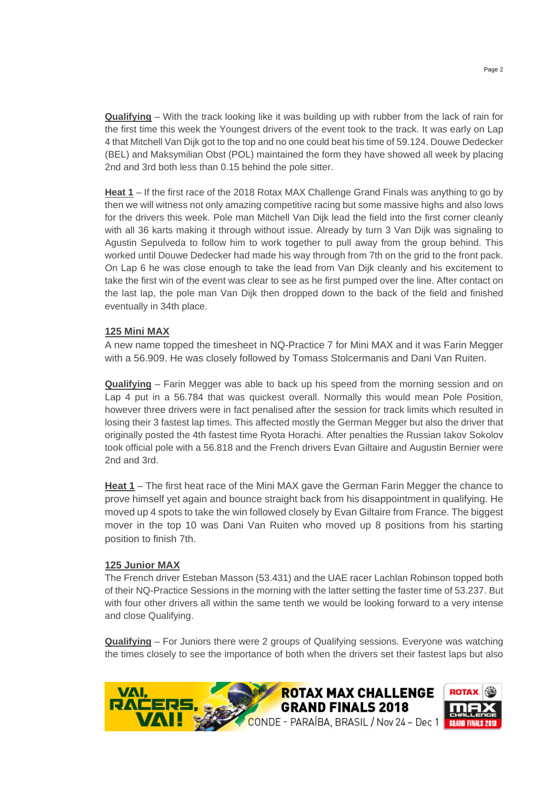**Qualifying** – With the track looking like it was building up with rubber from the lack of rain for the first time this week the Youngest drivers of the event took to the track. It was early on Lap 4 that Mitchell Van Dijk got to the top and no one could beat his time of 59.124. Douwe Dedecker (BEL) and Maksymilian Obst (POL) maintained the form they have showed all week by placing 2nd and 3rd both less than 0.15 behind the pole sitter.

**Heat 1** – If the first race of the 2018 Rotax MAX Challenge Grand Finals was anything to go by then we will witness not only amazing competitive racing but some massive highs and also lows for the drivers this week. Pole man Mitchell Van Dijk lead the field into the first corner cleanly with all 36 karts making it through without issue. Already by turn 3 Van Dijk was signaling to Agustin Sepulveda to follow him to work together to pull away from the group behind. This worked until Douwe Dedecker had made his way through from 7th on the grid to the front pack. On Lap 6 he was close enough to take the lead from Van Dijk cleanly and his excitement to take the first win of the event was clear to see as he first pumped over the line. After contact on the last lap, the pole man Van Dijk then dropped down to the back of the field and finished eventually in 34th place.

## **125 Mini MAX**

A new name topped the timesheet in NQ-Practice 7 for Mini MAX and it was Farin Megger with a 56.909. He was closely followed by Tomass Stolcermanis and Dani Van Ruiten.

**Qualifying** – Farin Megger was able to back up his speed from the morning session and on Lap 4 put in a 56.784 that was quickest overall. Normally this would mean Pole Position, however three drivers were in fact penalised after the session for track limits which resulted in losing their 3 fastest lap times. This affected mostly the German Megger but also the driver that originally posted the 4th fastest time Ryota Horachi. After penalties the Russian Iakov Sokolov took official pole with a 56.818 and the French drivers Evan Giltaire and Augustin Bernier were 2nd and 3rd.

**Heat 1** – The first heat race of the Mini MAX gave the German Farin Megger the chance to prove himself yet again and bounce straight back from his disappointment in qualifying. He moved up 4 spots to take the win followed closely by Evan Giltaire from France. The biggest mover in the top 10 was Dani Van Ruiten who moved up 8 positions from his starting position to finish 7th.

#### **125 Junior MAX**

The French driver Esteban Masson (53.431) and the UAE racer Lachlan Robinson topped both of their NQ-Practice Sessions in the morning with the latter setting the faster time of 53.237. But with four other drivers all within the same tenth we would be looking forward to a very intense and close Qualifying.

**Qualifying** – For Juniors there were 2 groups of Qualifying sessions. Everyone was watching the times closely to see the importance of both when the drivers set their fastest laps but also

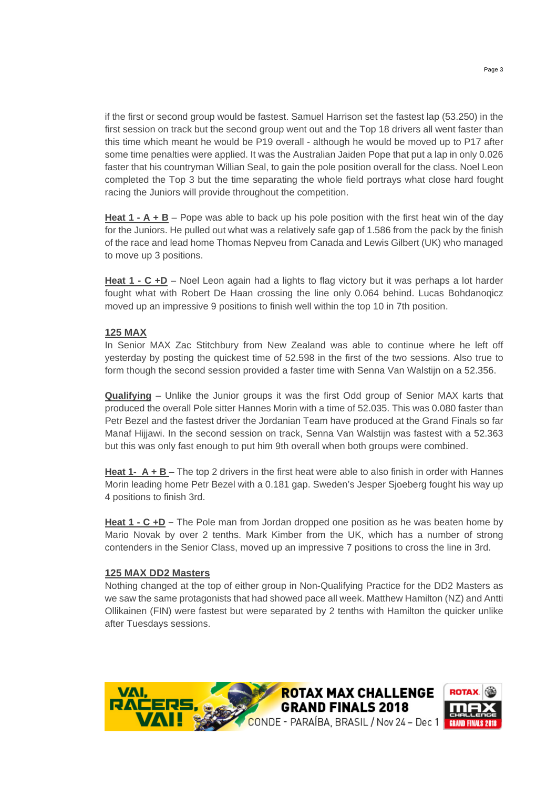if the first or second group would be fastest. Samuel Harrison set the fastest lap (53.250) in the first session on track but the second group went out and the Top 18 drivers all went faster than this time which meant he would be P19 overall - although he would be moved up to P17 after some time penalties were applied. It was the Australian Jaiden Pope that put a lap in only 0.026 faster that his countryman Willian Seal, to gain the pole position overall for the class. Noel Leon completed the Top 3 but the time separating the whole field portrays what close hard fought racing the Juniors will provide throughout the competition.

**Heat 1 - A + B** – Pope was able to back up his pole position with the first heat win of the day for the Juniors. He pulled out what was a relatively safe gap of 1.586 from the pack by the finish of the race and lead home Thomas Nepveu from Canada and Lewis Gilbert (UK) who managed to move up 3 positions.

**Heat 1 - C +D** – Noel Leon again had a lights to flag victory but it was perhaps a lot harder fought what with Robert De Haan crossing the line only 0.064 behind. Lucas Bohdanoqicz moved up an impressive 9 positions to finish well within the top 10 in 7th position.

# **125 MAX**

In Senior MAX Zac Stitchbury from New Zealand was able to continue where he left off yesterday by posting the quickest time of 52.598 in the first of the two sessions. Also true to form though the second session provided a faster time with Senna Van Walstijn on a 52.356.

**Qualifying** – Unlike the Junior groups it was the first Odd group of Senior MAX karts that produced the overall Pole sitter Hannes Morin with a time of 52.035. This was 0.080 faster than Petr Bezel and the fastest driver the Jordanian Team have produced at the Grand Finals so far Manaf Hijjawi. In the second session on track, Senna Van Walstijn was fastest with a 52.363 but this was only fast enough to put him 9th overall when both groups were combined.

**Heat 1- A + B** – The top 2 drivers in the first heat were able to also finish in order with Hannes Morin leading home Petr Bezel with a 0.181 gap. Sweden's Jesper Sjoeberg fought his way up 4 positions to finish 3rd.

**Heat 1 - C +D** – The Pole man from Jordan dropped one position as he was beaten home by Mario Novak by over 2 tenths. Mark Kimber from the UK, which has a number of strong contenders in the Senior Class, moved up an impressive 7 positions to cross the line in 3rd.

#### **125 MAX DD2 Masters**

Nothing changed at the top of either group in Non-Qualifying Practice for the DD2 Masters as we saw the same protagonists that had showed pace all week. Matthew Hamilton (NZ) and Antti Ollikainen (FIN) were fastest but were separated by 2 tenths with Hamilton the quicker unlike after Tuesdays sessions.

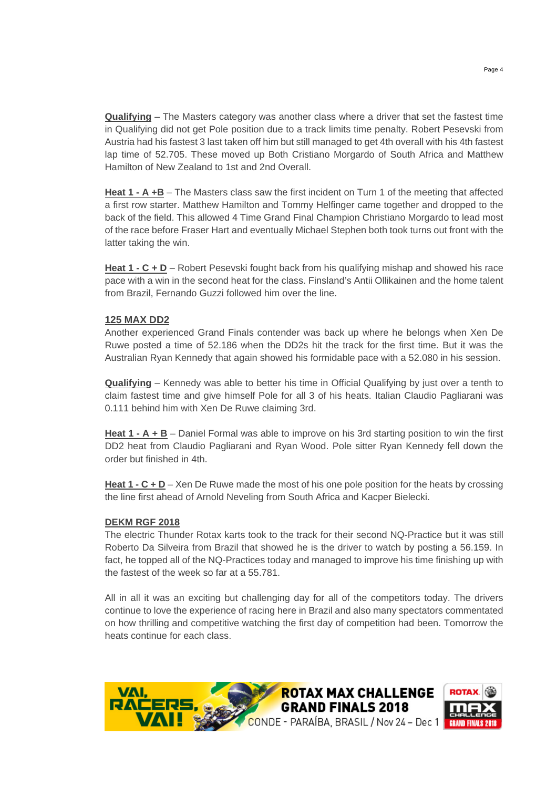**Qualifying** – The Masters category was another class where a driver that set the fastest time in Qualifying did not get Pole position due to a track limits time penalty. Robert Pesevski from Austria had his fastest 3 last taken off him but still managed to get 4th overall with his 4th fastest lap time of 52.705. These moved up Both Cristiano Morgardo of South Africa and Matthew Hamilton of New Zealand to 1st and 2nd Overall.

**Heat 1 - A +B** – The Masters class saw the first incident on Turn 1 of the meeting that affected a first row starter. Matthew Hamilton and Tommy Helfinger came together and dropped to the back of the field. This allowed 4 Time Grand Final Champion Christiano Morgardo to lead most of the race before Fraser Hart and eventually Michael Stephen both took turns out front with the latter taking the win.

**Heat 1 - C + D** – Robert Pesevski fought back from his qualifying mishap and showed his race pace with a win in the second heat for the class. Finsland's Antii Ollikainen and the home talent from Brazil, Fernando Guzzi followed him over the line.

## **125 MAX DD2**

Another experienced Grand Finals contender was back up where he belongs when Xen De Ruwe posted a time of 52.186 when the DD2s hit the track for the first time. But it was the Australian Ryan Kennedy that again showed his formidable pace with a 52.080 in his session.

**Qualifying** – Kennedy was able to better his time in Official Qualifying by just over a tenth to claim fastest time and give himself Pole for all 3 of his heats. Italian Claudio Pagliarani was 0.111 behind him with Xen De Ruwe claiming 3rd.

**Heat 1 - A + B** – Daniel Formal was able to improve on his 3rd starting position to win the first DD2 heat from Claudio Pagliarani and Ryan Wood. Pole sitter Ryan Kennedy fell down the order but finished in 4th.

**Heat 1 - C + D** – Xen De Ruwe made the most of his one pole position for the heats by crossing the line first ahead of Arnold Neveling from South Africa and Kacper Bielecki.

#### **DEKM RGF 2018**

The electric Thunder Rotax karts took to the track for their second NQ-Practice but it was still Roberto Da Silveira from Brazil that showed he is the driver to watch by posting a 56.159. In fact, he topped all of the NQ-Practices today and managed to improve his time finishing up with the fastest of the week so far at a 55.781.

All in all it was an exciting but challenging day for all of the competitors today. The drivers continue to love the experience of racing here in Brazil and also many spectators commentated on how thrilling and competitive watching the first day of competition had been. Tomorrow the heats continue for each class.